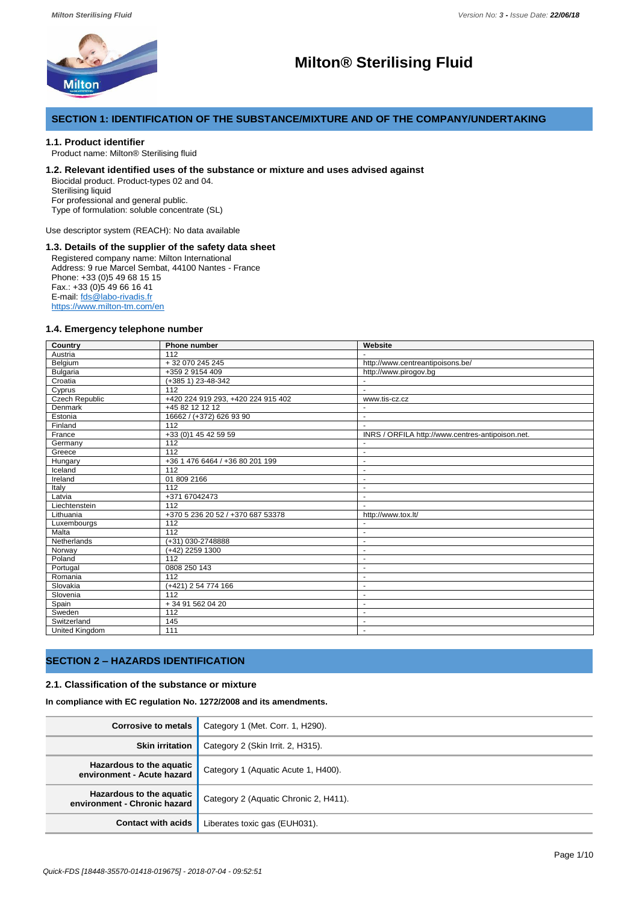

# **Milton® Sterilising Fluid**

# **SECTION 1: IDENTIFICATION OF THE SUBSTANCE/MIXTURE AND OF THE COMPANY/UNDERTAKING**

# **1.1. Product identifier**

Product name: Milton® Sterilising fluid

# **1.2. Relevant identified uses of the substance or mixture and uses advised against**

Biocidal product. Product-types 02 and 04. Sterilising liquid

For professional and general public.

Type of formulation: soluble concentrate (SL)

Use descriptor system (REACH): No data available

# **1.3. Details of the supplier of the safety data sheet**

Registered company name: Milton International Address: 9 rue Marcel Sembat, 44100 Nantes - France Phone: +33 (0)5 49 68 15 15 Fax.: +33 (0)5 49 66 16 41 E-mail: fds@labo-rivadis.fr https://www.milton-tm.com/en

# **1.4. Emergency telephone number**

| Country               | Phone number                       | Website                                          |
|-----------------------|------------------------------------|--------------------------------------------------|
| Austria               | 112                                |                                                  |
| Belgium               | $+32070245245$                     | http://www.centreantipoisons.be/                 |
| <b>Bulgaria</b>       | +359 2 9154 409                    | http://www.pirogov.bg                            |
| Croatia               | (+385 1) 23-48-342                 |                                                  |
| Cyprus                | 112                                | $\blacksquare$                                   |
| <b>Czech Republic</b> | +420 224 919 293, +420 224 915 402 | www.tis-cz.cz                                    |
| Denmark               | +45 82 12 12 12                    |                                                  |
| Estonia               | 16662 / (+372) 626 93 90           | ÷,                                               |
| Finland               | 112                                | $\sim$                                           |
| France                | $+33(0)145425959$                  | INRS / ORFILA http://www.centres-antipoison.net. |
| Germany               | 112                                |                                                  |
| Greece                | 112                                | ÷,                                               |
| Hungary               | +36 1 476 6464 / +36 80 201 199    | $\blacksquare$                                   |
| Iceland               | 112                                | ä,                                               |
| Ireland               | 01 809 2166                        | $\blacksquare$                                   |
| Italy                 | 112                                |                                                  |
| Latvia                | +371 67042473                      | $\blacksquare$                                   |
| Liechtenstein         | 112                                | L.                                               |
| Lithuania             | +370 5 236 20 52 / +370 687 53378  | http://www.tox.lt/                               |
| Luxembourgs           | 112                                |                                                  |
| Malta                 | 112                                | ٠                                                |
| Netherlands           | (+31) 030-2748888                  | ä,                                               |
| Norway                | (+42) 2259 1300                    | $\overline{a}$                                   |
| Poland                | 112                                | ä,                                               |
| Portugal              | 0808 250 143                       | ٠                                                |
| Romania               | 112                                |                                                  |
| Slovakia              | (+421) 2 54 774 166                | ٠                                                |
| Slovenia              | 112                                | ٠                                                |
| Spain                 | + 34 91 562 04 20                  | $\blacksquare$                                   |
| Sweden                | 112                                | ÷                                                |
| Switzerland           | 145                                | $\blacksquare$                                   |
| <b>United Kingdom</b> | 111                                | ÷                                                |

# **SECTION 2 – HAZARDS IDENTIFICATION**

### **2.1. Classification of the substance or mixture**

**In compliance with EC regulation No. 1272/2008 and its amendments.**

| <b>Corrosive to metals</b>                               | Category 1 (Met. Corr. 1, H290).      |  |  |
|----------------------------------------------------------|---------------------------------------|--|--|
| <b>Skin irritation</b>                                   | Category 2 (Skin Irrit. 2, H315).     |  |  |
| Hazardous to the aquatic<br>environment - Acute hazard   | Category 1 (Aquatic Acute 1, H400).   |  |  |
| Hazardous to the aquatic<br>environment - Chronic hazard | Category 2 (Aquatic Chronic 2, H411). |  |  |
| <b>Contact with acids</b>                                | Liberates toxic gas (EUH031).         |  |  |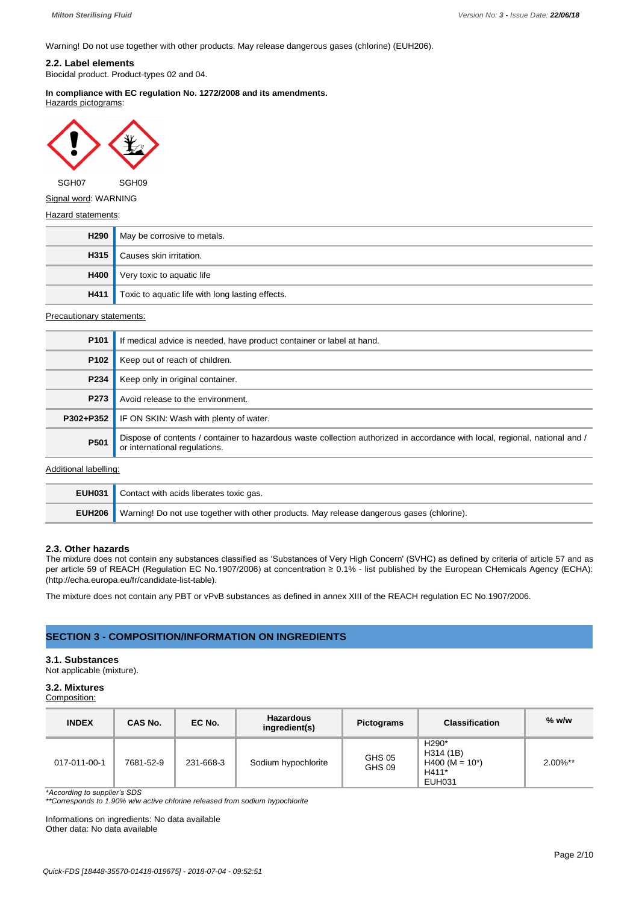Warning! Do not use together with other products. May release dangerous gases (chlorine) (EUH206).

# **2.2. Label elements**

Biocidal product. Product-types 02 and 04.

**In compliance with EC regulation No. 1272/2008 and its amendments.** Hazards pictograms:



SGH07 SGH09

Signal word: WARNING

#### Hazard statements:

| H290 | May be corrosive to metals.                                  |
|------|--------------------------------------------------------------|
| H315 | Causes skin irritation.                                      |
| H400 | Very toxic to aquatic life                                   |
|      | <b>H411</b> Toxic to aquatic life with long lasting effects. |

#### Precautionary statements:

| P <sub>101</sub> | If medical advice is needed, have product container or label at hand.                                                                                        |
|------------------|--------------------------------------------------------------------------------------------------------------------------------------------------------------|
| P <sub>102</sub> | Keep out of reach of children.                                                                                                                               |
| P234             | Keep only in original container.                                                                                                                             |
| P273             | Avoid release to the environment.                                                                                                                            |
| P302+P352        | IF ON SKIN: Wash with plenty of water.                                                                                                                       |
| P501             | Dispose of contents / container to hazardous waste collection authorized in accordance with local, regional, national and /<br>or international regulations. |

# Additional labelling:

| <b>EUH031</b> Contact with acids liberates toxic gas.                                                   |
|---------------------------------------------------------------------------------------------------------|
| <b>EUH206</b> Warning! Do not use together with other products. May release dangerous gases (chlorine). |

# **2.3. Other hazards**

The mixture does not contain any substances classified as 'Substances of Very High Concern' (SVHC) as defined by criteria of article 57 and as per article 59 of REACH (Regulation EC No.1907/2006) at concentration ≥ 0.1% - list published by the European CHemicals Agency (ECHA): (http://echa.europa.eu/fr/candidate-list-table).

The mixture does not contain any PBT or vPvB substances as defined in annex XIII of the REACH regulation EC No.1907/2006.

# **SECTION 3 - COMPOSITION/INFORMATION ON INGREDIENTS**

# **3.1. Substances**

Not applicable (mixture).

# **3.2. Mixtures**

Composition:

| <b>INDEX</b> | CAS No.   | EC No.    | <b>Hazardous</b><br>ingredient(s) | <b>Pictograms</b> | <b>Classification</b>                                                                    | $%$ w/w     |
|--------------|-----------|-----------|-----------------------------------|-------------------|------------------------------------------------------------------------------------------|-------------|
| 017-011-00-1 | 7681-52-9 | 231-668-3 | Sodium hypochlorite               | GHS 05<br>GHS 09  | H <sub>290</sub> <sup>*</sup><br>H314 (1B)<br>$H400 (M = 10*)$<br>H411*<br><b>EUH031</b> | $2.00\%$ ** |

*\*According to supplier's SDS \*\*Corresponds to 1.90% w/w active chlorine released from sodium hypochlorite*

Informations on ingredients: No data available Other data: No data available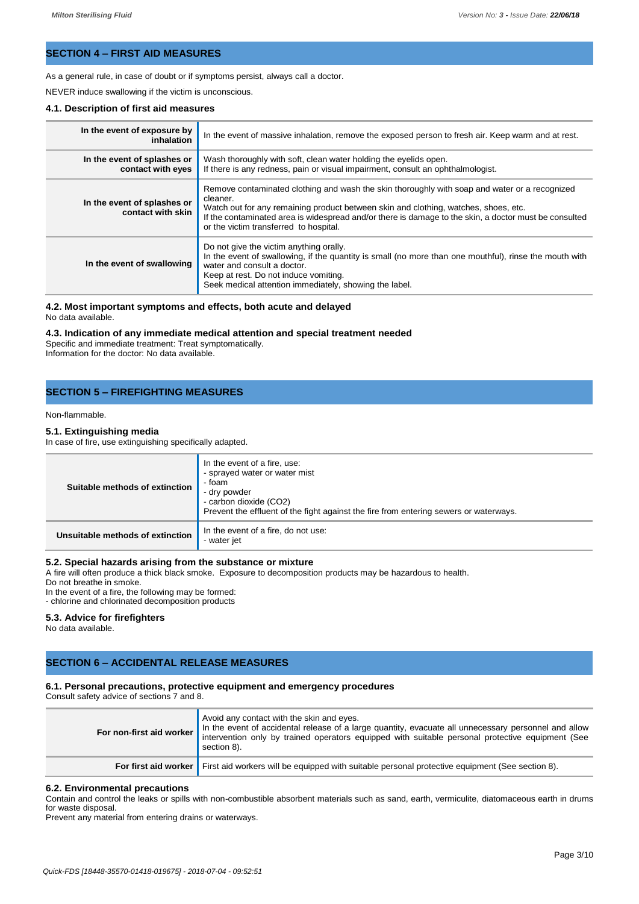# **SECTION 4 – FIRST AID MEASURES**

As a general rule, in case of doubt or if symptoms persist, always call a doctor.

NEVER induce swallowing if the victim is unconscious.

# **4.1. Description of first aid measures**

| In the event of exposure by<br>inhalation        | In the event of massive inhalation, remove the exposed person to fresh air. Keep warm and at rest.                                                                                                                                                                                                                                                  |
|--------------------------------------------------|-----------------------------------------------------------------------------------------------------------------------------------------------------------------------------------------------------------------------------------------------------------------------------------------------------------------------------------------------------|
| In the event of splashes or<br>contact with eyes | Wash thoroughly with soft, clean water holding the eyelids open.<br>If there is any redness, pain or visual impairment, consult an ophthalmologist.                                                                                                                                                                                                 |
| In the event of splashes or<br>contact with skin | Remove contaminated clothing and wash the skin thoroughly with soap and water or a recognized<br>cleaner.<br>Watch out for any remaining product between skin and clothing, watches, shoes, etc.<br>If the contaminated area is widespread and/or there is damage to the skin, a doctor must be consulted<br>or the victim transferred to hospital. |
| In the event of swallowing                       | Do not give the victim anything orally.<br>In the event of swallowing, if the quantity is small (no more than one mouthful), rinse the mouth with<br>water and consult a doctor.<br>Keep at rest. Do not induce vomiting.<br>Seek medical attention immediately, showing the label.                                                                 |

#### **4.2. Most important symptoms and effects, both acute and delayed** No data available.

# **4.3. Indication of any immediate medical attention and special treatment needed**

Specific and immediate treatment: Treat symptomatically. Information for the doctor: No data available.

# **SECTION 5 – FIREFIGHTING MEASURES**

# Non-flammable.

# **5.1. Extinguishing media**

In case of fire, use extinguishing specifically adapted.

| Suitable methods of extinction   | In the event of a fire, use:<br>- sprayed water or water mist<br>- foam<br>- dry powder<br>- carbon dioxide (CO2)<br>Prevent the effluent of the fight against the fire from entering sewers or waterways. |
|----------------------------------|------------------------------------------------------------------------------------------------------------------------------------------------------------------------------------------------------------|
| Unsuitable methods of extinction | In the event of a fire, do not use:<br>- water jet                                                                                                                                                         |

#### **5.2. Special hazards arising from the substance or mixture**

A fire will often produce a thick black smoke. Exposure to decomposition products may be hazardous to health.

Do not breathe in smoke.

In the event of a fire, the following may be formed:

- chlorine and chlorinated decomposition products

# **5.3. Advice for firefighters**

No data available.

# **SECTION 6 – ACCIDENTAL RELEASE MEASURES**

# **6.1. Personal precautions, protective equipment and emergency procedures**

Consult safety advice of sections 7 and 8.

| Avoid any contact with the skin and eyes.<br>For non-first aid worker In the event of accidental release of a large quantity, evacuate all unnecessary personnel and allow<br>intervention only by trained operators equipped with suitable personal protective equipment (See<br>section 8). |
|-----------------------------------------------------------------------------------------------------------------------------------------------------------------------------------------------------------------------------------------------------------------------------------------------|
| For first aid worker First aid workers will be equipped with suitable personal protective equipment (See section 8).                                                                                                                                                                          |

#### **6.2. Environmental precautions**

Contain and control the leaks or spills with non-combustible absorbent materials such as sand, earth, vermiculite, diatomaceous earth in drums for waste disposal.

Prevent any material from entering drains or waterways.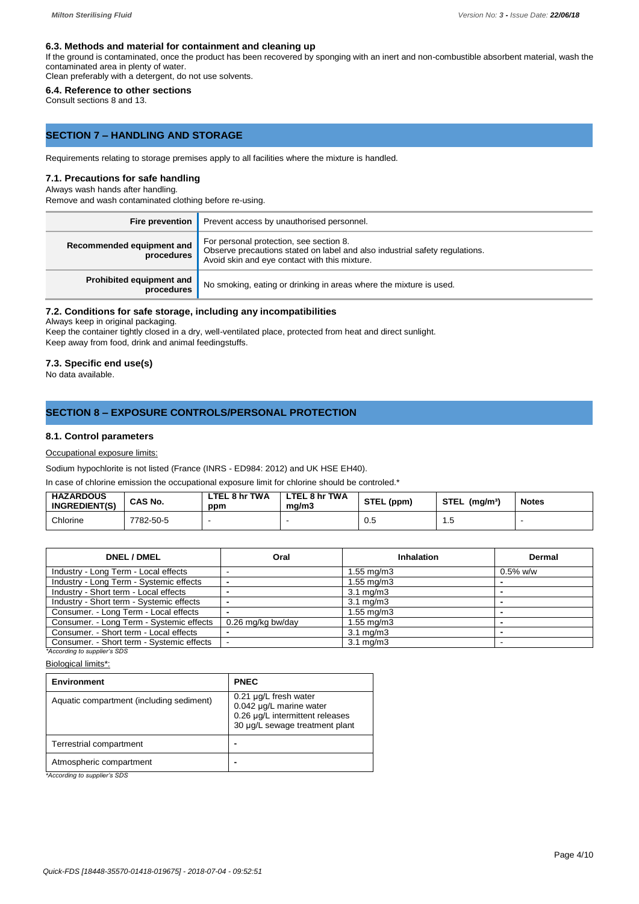#### **6.3. Methods and material for containment and cleaning up**

If the ground is contaminated, once the product has been recovered by sponging with an inert and non-combustible absorbent material, wash the contaminated area in plenty of water.

Clean preferably with a detergent, do not use solvents.

# **6.4. Reference to other sections**

Consult sections 8 and 13.

# **SECTION 7 – HANDLING AND STORAGE**

Requirements relating to storage premises apply to all facilities where the mixture is handled.

# **7.1. Precautions for safe handling**

# Always wash hands after handling.

Remove and wash contaminated clothing before re-using.

| <b>Fire prevention</b>                  | Prevent access by unauthorised personnel.                                                                                                                               |
|-----------------------------------------|-------------------------------------------------------------------------------------------------------------------------------------------------------------------------|
| Recommended equipment and<br>procedures | For personal protection, see section 8.<br>Observe precautions stated on label and also industrial safety regulations.<br>Avoid skin and eye contact with this mixture. |
| Prohibited equipment and<br>procedures  | No smoking, eating or drinking in areas where the mixture is used.                                                                                                      |

# **7.2. Conditions for safe storage, including any incompatibilities**

Always keep in original packaging.

Keep the container tightly closed in a dry, well-ventilated place, protected from heat and direct sunlight. Keep away from food, drink and animal feedingstuffs.

# **7.3. Specific end use(s)**

No data available.

# **SECTION 8 – EXPOSURE CONTROLS/PERSONAL PROTECTION**

### **8.1. Control parameters**

Occupational exposure limits:

Sodium hypochlorite is not listed (France (INRS - ED984: 2012) and UK HSE EH40).

In case of chlorine emission the occupational exposure limit for chlorine should be controled.\*

| <b>HAZARDOUS</b><br><b>INGREDIENT(S)</b> | CAS No.   | . 8 hr TWA<br>.TEL<br>ppm | LTEL 8 hr TWA<br>ma/m3 | STEL (ppm) | <b>STEL</b><br>(mq/m <sup>3</sup> ) | <b>Notes</b> |
|------------------------------------------|-----------|---------------------------|------------------------|------------|-------------------------------------|--------------|
| Chlorine                                 | 7782-50-5 |                           |                        | 0.5        | ں. ا                                |              |

| <b>DNEL / DMEL</b>                        | Oral              | Inhalation           | Dermal      |
|-------------------------------------------|-------------------|----------------------|-------------|
| Industry - Long Term - Local effects      |                   | 1.55 mg/m3           | $0.5\%$ w/w |
| Industry - Long Term - Systemic effects   |                   | 1.55 mg/m3           |             |
| Industry - Short term - Local effects     |                   | $3.1 \text{ mg/m}$   |             |
| Industry - Short term - Systemic effects  |                   | $3.1 \text{ mg/m}$   |             |
| Consumer. - Long Term - Local effects     |                   | 1.55 mg/m3           |             |
| Consumer. - Long Term - Systemic effects  | 0.26 mg/kg bw/day | $1.55$ mg/m $3$      |             |
| Consumer. - Short term - Local effects    |                   | $3.1 \text{ mg/m}$   |             |
| Consumer. - Short term - Systemic effects |                   | $3.1 \text{ ma/m}$ 3 |             |

*\*According to supplier's SDS* Biological limits\*:

| <b>Environment</b>                       | <b>PNEC</b>                                                                                                                |
|------------------------------------------|----------------------------------------------------------------------------------------------------------------------------|
| Aquatic compartment (including sediment) | $0.21 \mu g/L$ fresh water<br>0.042 µg/L marine water<br>0.26 µg/L intermittent releases<br>30 µg/L sewage treatment plant |
| Terrestrial compartment                  |                                                                                                                            |
| Atmospheric compartment                  |                                                                                                                            |

*\*According to supplier's SDS*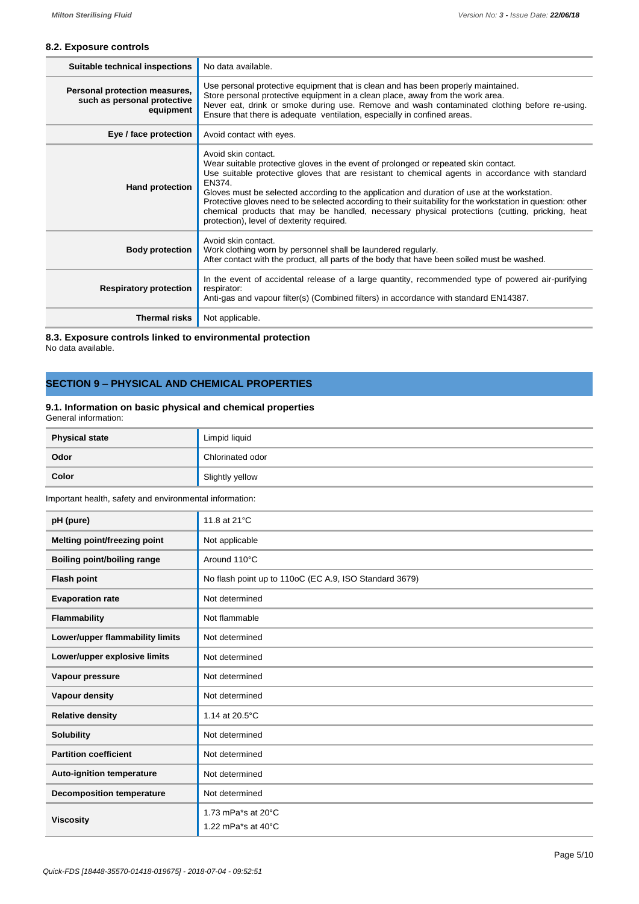# **8.2. Exposure controls**

| <b>Suitable technical inspections</b>                                     | No data available.                                                                                                                                                                                                                                                                                                                                                                                                                                                                                                                                                                     |
|---------------------------------------------------------------------------|----------------------------------------------------------------------------------------------------------------------------------------------------------------------------------------------------------------------------------------------------------------------------------------------------------------------------------------------------------------------------------------------------------------------------------------------------------------------------------------------------------------------------------------------------------------------------------------|
| Personal protection measures,<br>such as personal protective<br>equipment | Use personal protective equipment that is clean and has been properly maintained.<br>Store personal protective equipment in a clean place, away from the work area.<br>Never eat, drink or smoke during use. Remove and wash contaminated clothing before re-using.<br>Ensure that there is adequate ventilation, especially in confined areas.                                                                                                                                                                                                                                        |
| Eye / face protection                                                     | Avoid contact with eyes.                                                                                                                                                                                                                                                                                                                                                                                                                                                                                                                                                               |
| <b>Hand protection</b>                                                    | Avoid skin contact.<br>Wear suitable protective gloves in the event of prolonged or repeated skin contact.<br>Use suitable protective gloves that are resistant to chemical agents in accordance with standard<br>EN374.<br>Gloves must be selected according to the application and duration of use at the workstation.<br>Protective gloves need to be selected according to their suitability for the workstation in question: other<br>chemical products that may be handled, necessary physical protections (cutting, pricking, heat<br>protection), level of dexterity required. |
| <b>Body protection</b>                                                    | Avoid skin contact.<br>Work clothing worn by personnel shall be laundered regularly.<br>After contact with the product, all parts of the body that have been soiled must be washed.                                                                                                                                                                                                                                                                                                                                                                                                    |
| <b>Respiratory protection</b>                                             | In the event of accidental release of a large quantity, recommended type of powered air-purifying<br>respirator:<br>Anti-gas and vapour filter(s) (Combined filters) in accordance with standard EN14387.                                                                                                                                                                                                                                                                                                                                                                              |
| <b>Thermal risks</b>                                                      | Not applicable.                                                                                                                                                                                                                                                                                                                                                                                                                                                                                                                                                                        |

**8.3. Exposure controls linked to environmental protection** No data available.

# **SECTION 9 – PHYSICAL AND CHEMICAL PROPERTIES**

# **9.1. Information on basic physical and chemical properties**

General information:

| <b>Physical state</b> | Limpid liquid    |
|-----------------------|------------------|
| Odor                  | Chlorinated odor |
| Color                 | Slightly yellow  |

Important health, safety and environmental information:

| pH (pure)                          | 11.8 at 21°C                                                 |
|------------------------------------|--------------------------------------------------------------|
| Melting point/freezing point       | Not applicable                                               |
| <b>Boiling point/boiling range</b> | Around 110°C                                                 |
| <b>Flash point</b>                 | No flash point up to 110oC (EC A.9, ISO Standard 3679)       |
| <b>Evaporation rate</b>            | Not determined                                               |
| Flammability                       | Not flammable                                                |
| Lower/upper flammability limits    | Not determined                                               |
| Lower/upper explosive limits       | Not determined                                               |
| Vapour pressure                    | Not determined                                               |
| Vapour density                     | Not determined                                               |
| <b>Relative density</b>            | 1.14 at 20.5°C                                               |
| <b>Solubility</b>                  | Not determined                                               |
| <b>Partition coefficient</b>       | Not determined                                               |
| <b>Auto-ignition temperature</b>   | Not determined                                               |
| <b>Decomposition temperature</b>   | Not determined                                               |
| <b>Viscosity</b>                   | 1.73 mPa*s at $20^{\circ}$ C<br>1.22 mPa*s at $40^{\circ}$ C |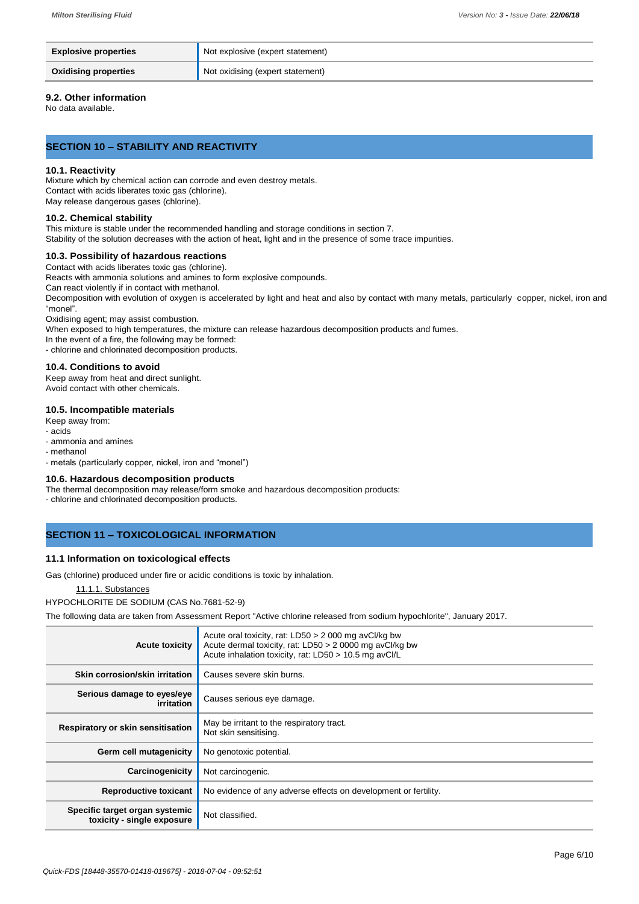| <b>Explosive properties</b> | Not explosive (expert statement) |
|-----------------------------|----------------------------------|
| <b>Oxidising properties</b> | Not oxidising (expert statement) |

# **9.2. Other information**

No data available.

# **SECTION 10 – STABILITY AND REACTIVITY**

#### **10.1. Reactivity**

Mixture which by chemical action can corrode and even destroy metals. Contact with acids liberates toxic gas (chlorine). May release dangerous gases (chlorine).

### **10.2. Chemical stability**

This mixture is stable under the recommended handling and storage conditions in section 7. Stability of the solution decreases with the action of heat, light and in the presence of some trace impurities.

# **10.3. Possibility of hazardous reactions**

Contact with acids liberates toxic gas (chlorine).

Reacts with ammonia solutions and amines to form explosive compounds.

Can react violently if in contact with methanol.

Decomposition with evolution of oxygen is accelerated by light and heat and also by contact with many metals, particularly copper, nickel, iron and "monel".

Oxidising agent; may assist combustion.

When exposed to high temperatures, the mixture can release hazardous decomposition products and fumes.

In the event of a fire, the following may be formed:

- chlorine and chlorinated decomposition products.

# **10.4. Conditions to avoid**

Keep away from heat and direct sunlight. Avoid contact with other chemicals.

# **10.5. Incompatible materials**

Keep away from:

- acids
- ammonia and amines

- methanol

- metals (particularly copper, nickel, iron and "monel")

#### **10.6. Hazardous decomposition products**

The thermal decomposition may release/form smoke and hazardous decomposition products:

- chlorine and chlorinated decomposition products.

# **SECTION 11 – TOXICOLOGICAL INFORMATION**

# **11.1 Information on toxicological effects**

Gas (chlorine) produced under fire or acidic conditions is toxic by inhalation.

# 11.1.1. Substances

HYPOCHLORITE DE SODIUM (CAS No.7681-52-9)

The following data are taken from Assessment Report "Active chlorine released from sodium hypochlorite", January 2017.

| <b>Acute toxicity</b>                                        | Acute oral toxicity, rat: LD50 > 2 000 mg avCl/kg bw<br>Acute dermal toxicity, rat: LD50 > 2 0000 mg avCl/kg bw<br>Acute inhalation toxicity, rat: LD50 > 10.5 mg avCl/L |
|--------------------------------------------------------------|--------------------------------------------------------------------------------------------------------------------------------------------------------------------------|
| Skin corrosion/skin irritation                               | Causes severe skin burns.                                                                                                                                                |
| Serious damage to eyes/eye<br>irritation                     | Causes serious eye damage.                                                                                                                                               |
| Respiratory or skin sensitisation                            | May be irritant to the respiratory tract.<br>Not skin sensitising.                                                                                                       |
| Germ cell mutagenicity                                       | No genotoxic potential.                                                                                                                                                  |
| Carcinogenicity                                              | Not carcinogenic.                                                                                                                                                        |
| <b>Reproductive toxicant</b>                                 | No evidence of any adverse effects on development or fertility.                                                                                                          |
| Specific target organ systemic<br>toxicity - single exposure | Not classified.                                                                                                                                                          |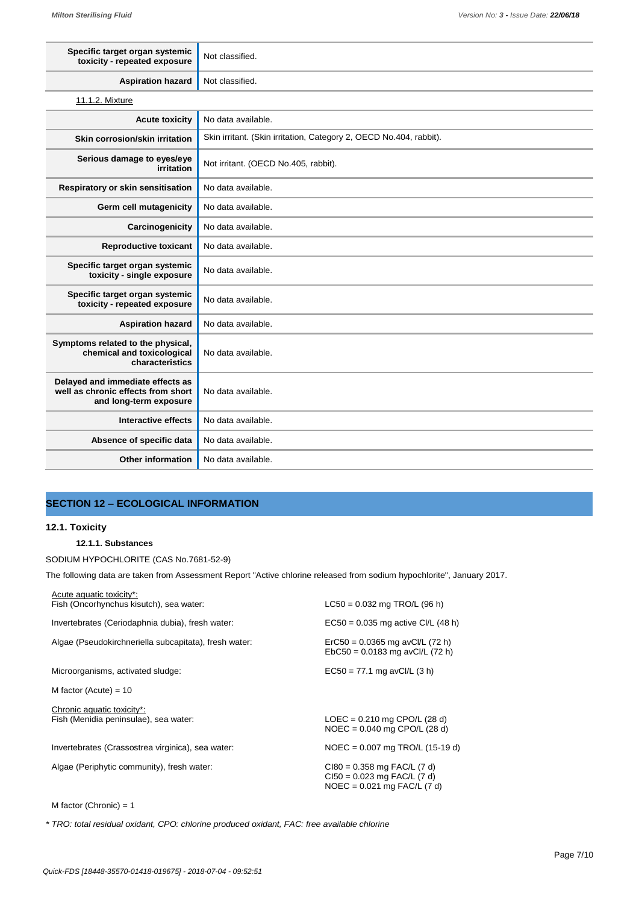| Specific target organ systemic<br>toxicity - repeated exposure                                   | Not classified.                                                    |
|--------------------------------------------------------------------------------------------------|--------------------------------------------------------------------|
| <b>Aspiration hazard</b>                                                                         | Not classified.                                                    |
| 11.1.2. Mixture                                                                                  |                                                                    |
| <b>Acute toxicity</b>                                                                            | No data available.                                                 |
| Skin corrosion/skin irritation                                                                   | Skin irritant. (Skin irritation, Category 2, OECD No.404, rabbit). |
| Serious damage to eyes/eye<br>irritation                                                         | Not irritant. (OECD No.405, rabbit).                               |
| Respiratory or skin sensitisation                                                                | No data available.                                                 |
| Germ cell mutagenicity                                                                           | No data available.                                                 |
| Carcinogenicity                                                                                  | No data available.                                                 |
| <b>Reproductive toxicant</b>                                                                     | No data available.                                                 |
| Specific target organ systemic<br>toxicity - single exposure                                     | No data available.                                                 |
| Specific target organ systemic<br>toxicity - repeated exposure                                   | No data available.                                                 |
| <b>Aspiration hazard</b>                                                                         | No data available.                                                 |
| Symptoms related to the physical,<br>chemical and toxicological<br>characteristics               | No data available.                                                 |
| Delayed and immediate effects as<br>well as chronic effects from short<br>and long-term exposure | No data available.                                                 |
| <b>Interactive effects</b>                                                                       | No data available.                                                 |
| Absence of specific data                                                                         | No data available.                                                 |
| Other information                                                                                | No data available.                                                 |

# **SECTION 12 – ECOLOGICAL INFORMATION**

### **12.1. Toxicity**

# **12.1.1. Substances**

SODIUM HYPOCHLORITE (CAS No.7681-52-9)

The following data are taken from Assessment Report "Active chlorine released from sodium hypochlorite", January 2017.

| Acute aquatic toxicity*:                              |                                                                                                   |
|-------------------------------------------------------|---------------------------------------------------------------------------------------------------|
| Fish (Oncorhynchus kisutch), sea water:               | $LC50 = 0.032$ mg TRO/L (96 h)                                                                    |
| Invertebrates (Ceriodaphnia dubia), fresh water:      | $EC50 = 0.035$ mg active CI/L (48 h)                                                              |
| Algae (Pseudokirchneriella subcapitata), fresh water: | $\text{ErC50} = 0.0365 \text{ mg}$ avCl/L (72 h)<br>$EbC50 = 0.0183$ mg avCl/L (72 h)             |
| Microorganisms, activated sludge:                     | $EC50 = 77.1$ mg avCl/L (3 h)                                                                     |
| M factor (Acute) = $10$                               |                                                                                                   |
| Chronic aquatic toxicity*:                            |                                                                                                   |
| Fish (Menidia peninsulae), sea water:                 | $LOEC = 0.210$ mg $CPO/L$ (28 d)<br>$NOEC = 0.040$ mg $CPO/L$ (28 d)                              |
| Invertebrates (Crassostrea virginica), sea water:     | $NOEC = 0.007$ mg TRO/L (15-19 d)                                                                 |
| Algae (Periphytic community), fresh water:            | $Cl80 = 0.358$ mg FAC/L (7 d)<br>$Cl50 = 0.023$ mg FAC/L (7 d)<br>$NOEC = 0.021$ mg $FAC/L$ (7 d) |

M factor (Chronic) = 1

*\* TRO: total residual oxidant, CPO: chlorine produced oxidant, FAC: free available chlorine*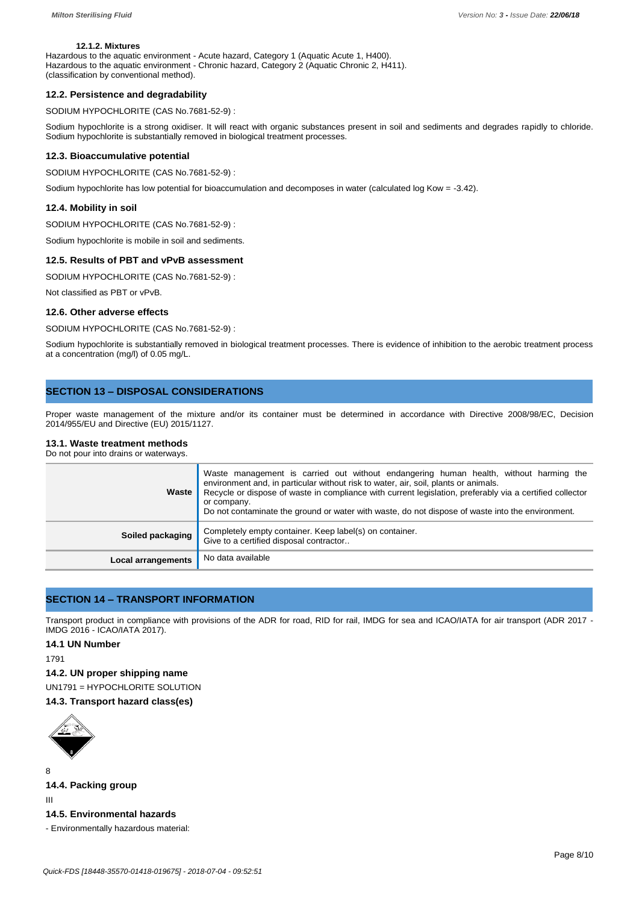# **12.1.2. Mixtures**

Hazardous to the aquatic environment - Acute hazard, Category 1 (Aquatic Acute 1, H400). Hazardous to the aquatic environment - Chronic hazard, Category 2 (Aquatic Chronic 2, H411). (classification by conventional method).

#### **12.2. Persistence and degradability**

SODIUM HYPOCHLORITE (CAS No.7681-52-9) :

Sodium hypochlorite is a strong oxidiser. It will react with organic substances present in soil and sediments and degrades rapidly to chloride. Sodium hypochlorite is substantially removed in biological treatment processes.

#### **12.3. Bioaccumulative potential**

SODIUM HYPOCHLORITE (CAS No.7681-52-9) :

Sodium hypochlorite has low potential for bioaccumulation and decomposes in water (calculated log Kow = -3.42).

# **12.4. Mobility in soil**

SODIUM HYPOCHLORITE (CAS No.7681-52-9) :

Sodium hypochlorite is mobile in soil and sediments.

#### **12.5. Results of PBT and vPvB assessment**

SODIUM HYPOCHLORITE (CAS No.7681-52-9) :

Not classified as PBT or vPvB.

### **12.6. Other adverse effects**

SODIUM HYPOCHLORITE (CAS No.7681-52-9) :

Sodium hypochlorite is substantially removed in biological treatment processes. There is evidence of inhibition to the aerobic treatment process at a concentration (mg/l) of 0.05 mg/L.

# **SECTION 13 – DISPOSAL CONSIDERATIONS**

Proper waste management of the mixture and/or its container must be determined in accordance with Directive 2008/98/EC, Decision 2014/955/EU and Directive (EU) 2015/1127.

# **13.1. Waste treatment methods**

Do not pour into drains or waterways.

| Waste                     | Waste management is carried out without endangering human health, without harming the<br>environment and, in particular without risk to water, air, soil, plants or animals.<br>Recycle or dispose of waste in compliance with current legislation, preferably via a certified collector<br>or company.<br>Do not contaminate the ground or water with waste, do not dispose of waste into the environment. |
|---------------------------|-------------------------------------------------------------------------------------------------------------------------------------------------------------------------------------------------------------------------------------------------------------------------------------------------------------------------------------------------------------------------------------------------------------|
| Soiled packaging          | Completely empty container. Keep label(s) on container.<br>Give to a certified disposal contractor                                                                                                                                                                                                                                                                                                          |
| <b>Local arrangements</b> | No data available                                                                                                                                                                                                                                                                                                                                                                                           |

# **SECTION 14 – TRANSPORT INFORMATION**

Transport product in compliance with provisions of the ADR for road, RID for rail, IMDG for sea and ICAO/IATA for air transport (ADR 2017 -IMDG 2016 - ICAO/IATA 2017).

# **14.1 UN Number**

1791

#### **14.2. UN proper shipping name**

UN1791 = HYPOCHLORITE SOLUTION

# **14.3. Transport hazard class(es)**



**14.4. Packing group**

III

8

# **14.5. Environmental hazards**

- Environmentally hazardous material: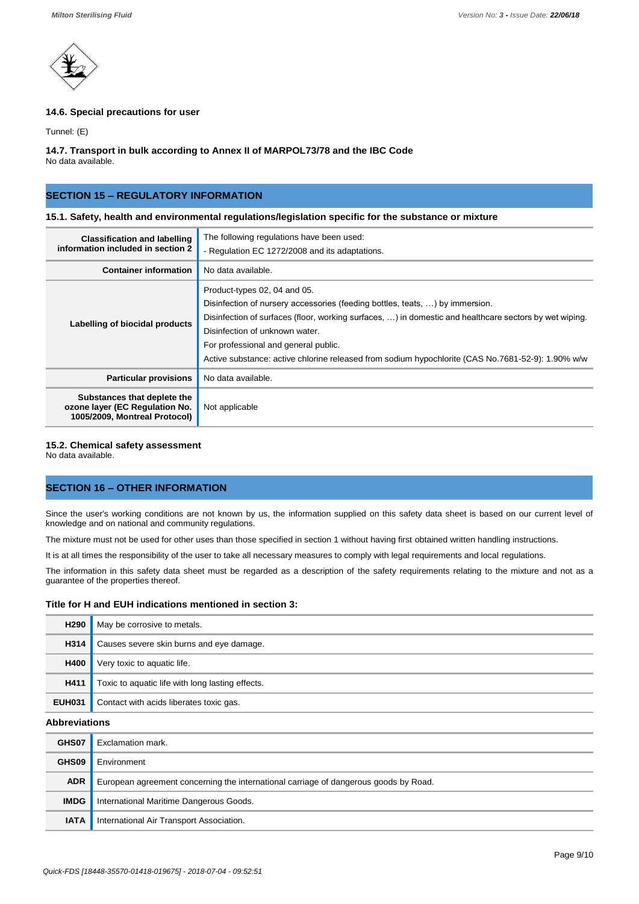

# **14.6. Special precautions for user**

Tunnel: (E)

#### **14.7. Transport in bulk according to Annex II of MARPOL73/78 and the IBC Code** No data available.

**SECTION 15 – REGULATORY INFORMATION**

# **15.1. Safety, health and environmental regulations/legislation specific for the substance or mixture**

| <b>Classification and labelling</b><br>information included in section 2                       | The following regulations have been used:<br>- Regulation EC 1272/2008 and its adaptations.                                                                                                                                                                                                                                                                                                           |
|------------------------------------------------------------------------------------------------|-------------------------------------------------------------------------------------------------------------------------------------------------------------------------------------------------------------------------------------------------------------------------------------------------------------------------------------------------------------------------------------------------------|
| <b>Container information</b>                                                                   | No data available.                                                                                                                                                                                                                                                                                                                                                                                    |
| Labelling of biocidal products                                                                 | Product-types 02, 04 and 05.<br>Disinfection of nursery accessories (feeding bottles, teats, ) by immersion.<br>Disinfection of surfaces (floor, working surfaces, ) in domestic and healthcare sectors by wet wiping.<br>Disinfection of unknown water.<br>For professional and general public.<br>Active substance: active chlorine released from sodium hypochlorite (CAS No.7681-52-9): 1.90% w/w |
| <b>Particular provisions</b>                                                                   | No data available.                                                                                                                                                                                                                                                                                                                                                                                    |
| Substances that deplete the<br>ozone layer (EC Regulation No.<br>1005/2009, Montreal Protocol) | Not applicable                                                                                                                                                                                                                                                                                                                                                                                        |

# **15.2. Chemical safety assessment**

No data available.

# **SECTION 16 – OTHER INFORMATION**

Since the user's working conditions are not known by us, the information supplied on this safety data sheet is based on our current level of knowledge and on national and community regulations.

The mixture must not be used for other uses than those specified in section 1 without having first obtained written handling instructions.

It is at all times the responsibility of the user to take all necessary measures to comply with legal requirements and local regulations.

The information in this safety data sheet must be regarded as a description of the safety requirements relating to the mixture and not as a guarantee of the properties thereof.

# **Title for H and EUH indications mentioned in section 3:**

| H <sub>290</sub>     | May be corrosive to metals.                      |
|----------------------|--------------------------------------------------|
| H314                 | Causes severe skin burns and eye damage.         |
| <b>H400</b>          | Very toxic to aquatic life.                      |
| H411                 | Toxic to aquatic life with long lasting effects. |
| <b>EUH031</b>        | Contact with acids liberates toxic gas.          |
| <b>Abbreviations</b> |                                                  |
| GHS07                | Evelamation mark                                 |

| GHS07       | Exclamation mark.                                                                    |
|-------------|--------------------------------------------------------------------------------------|
| GHS09       | Environment                                                                          |
| <b>ADR</b>  | European agreement concerning the international carriage of dangerous goods by Road. |
| <b>IMDG</b> | International Maritime Dangerous Goods.                                              |
| <b>IATA</b> | International Air Transport Association.                                             |